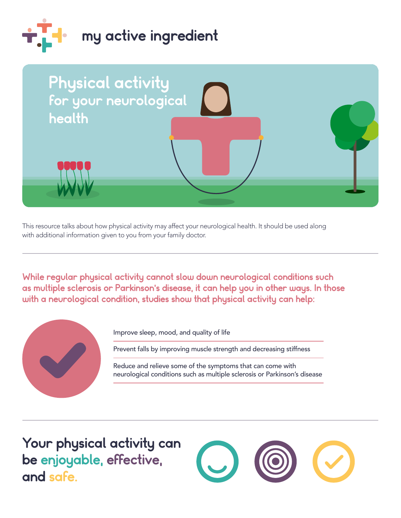



This resource talks about how physical activity may affect your neurological health. It should be used along with additional information given to you from your family doctor.

While regular physical activity cannot slow down neurological conditions such as multiple sclerosis or Parkinson's disease, it can help you in other ways. In those with a neurological condition, studies show that physical activity can help:



Improve sleep, mood, and quality of life

Prevent falls by improving muscle strength and decreasing stiffness

Reduce and relieve some of the symptoms that can come with neurological conditions such as multiple sclerosis or Parkinson's disease

 be enjoyable, effective, Your physical activity can and safe.